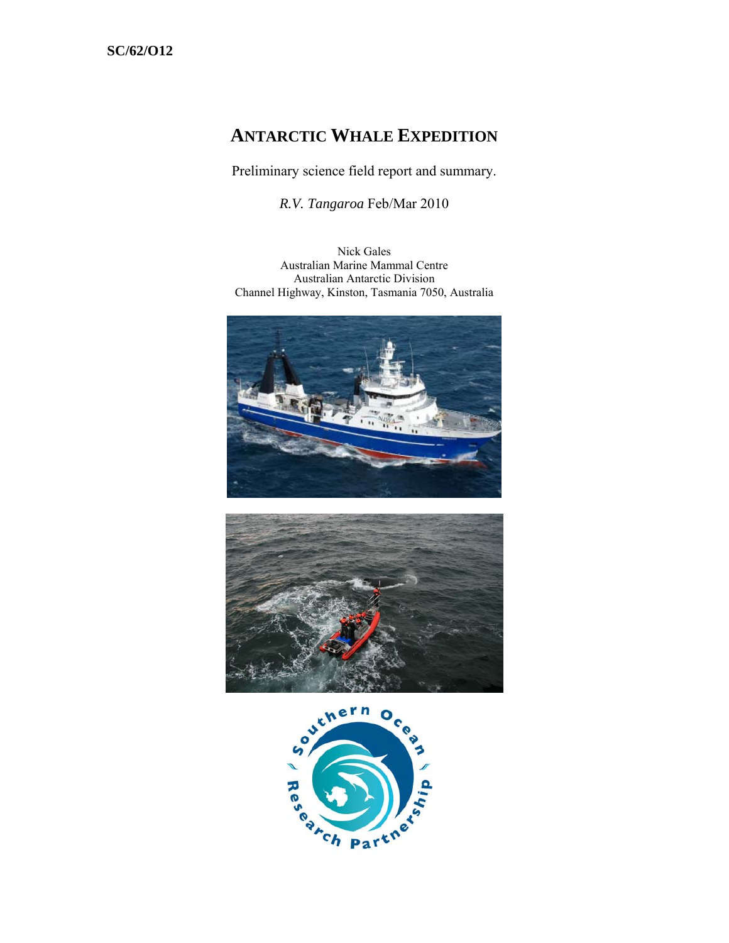# **ANTARCTIC WHALE EXPEDITION**

Preliminary science field report and summary.

*R.V. Tangaroa* Feb/Mar 2010

Nick Gales Australian Marine Mammal Centre Australian Antarctic Division Channel Highway, Kinston, Tasmania 7050, Australia





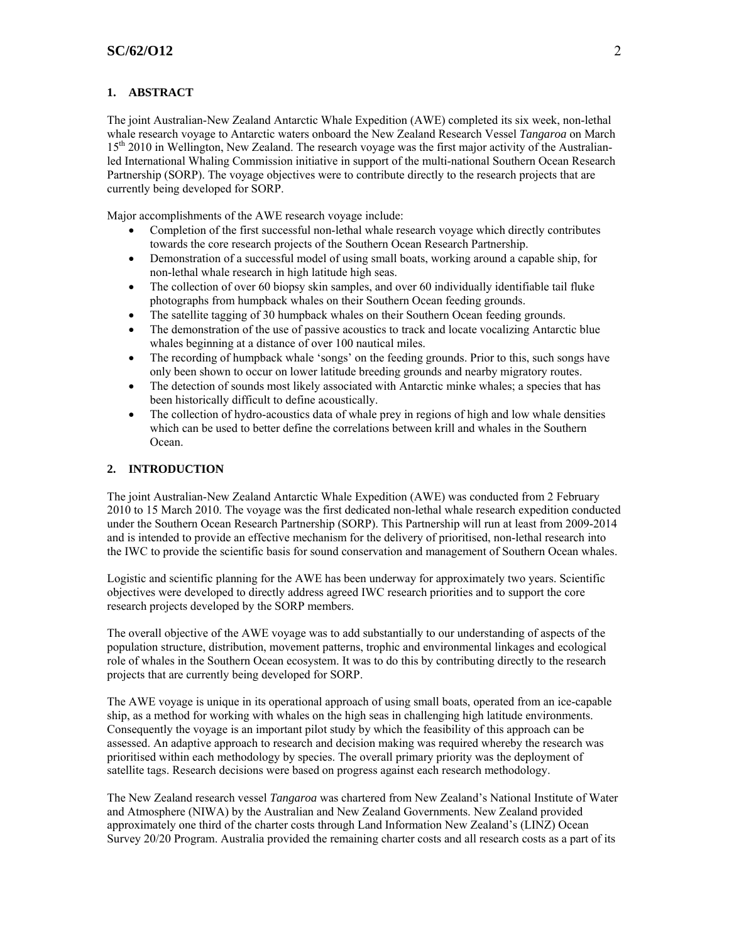## **1. ABSTRACT**

The joint Australian-New Zealand Antarctic Whale Expedition (AWE) completed its six week, non-lethal whale research voyage to Antarctic waters onboard the New Zealand Research Vessel *Tangaroa* on March 15<sup>th</sup> 2010 in Wellington, New Zealand. The research voyage was the first major activity of the Australianled International Whaling Commission initiative in support of the multi-national Southern Ocean Research Partnership (SORP). The voyage objectives were to contribute directly to the research projects that are currently being developed for SORP.

Major accomplishments of the AWE research voyage include:

- Completion of the first successful non-lethal whale research voyage which directly contributes towards the core research projects of the Southern Ocean Research Partnership.
- Demonstration of a successful model of using small boats, working around a capable ship, for non-lethal whale research in high latitude high seas.
- The collection of over 60 biopsy skin samples, and over 60 individually identifiable tail fluke photographs from humpback whales on their Southern Ocean feeding grounds.
- The satellite tagging of 30 humpback whales on their Southern Ocean feeding grounds.
- The demonstration of the use of passive acoustics to track and locate vocalizing Antarctic blue whales beginning at a distance of over 100 nautical miles.
- The recording of humpback whale 'songs' on the feeding grounds. Prior to this, such songs have only been shown to occur on lower latitude breeding grounds and nearby migratory routes.
- The detection of sounds most likely associated with Antarctic minke whales; a species that has been historically difficult to define acoustically.
- The collection of hydro-acoustics data of whale prey in regions of high and low whale densities which can be used to better define the correlations between krill and whales in the Southern Ocean.

## **2. INTRODUCTION**

The joint Australian-New Zealand Antarctic Whale Expedition (AWE) was conducted from 2 February 2010 to 15 March 2010. The voyage was the first dedicated non-lethal whale research expedition conducted under the Southern Ocean Research Partnership (SORP). This Partnership will run at least from 2009-2014 and is intended to provide an effective mechanism for the delivery of prioritised, non-lethal research into the IWC to provide the scientific basis for sound conservation and management of Southern Ocean whales.

Logistic and scientific planning for the AWE has been underway for approximately two years. Scientific objectives were developed to directly address agreed IWC research priorities and to support the core research projects developed by the SORP members.

The overall objective of the AWE voyage was to add substantially to our understanding of aspects of the population structure, distribution, movement patterns, trophic and environmental linkages and ecological role of whales in the Southern Ocean ecosystem. It was to do this by contributing directly to the research projects that are currently being developed for SORP.

The AWE voyage is unique in its operational approach of using small boats, operated from an ice-capable ship, as a method for working with whales on the high seas in challenging high latitude environments. Consequently the voyage is an important pilot study by which the feasibility of this approach can be assessed. An adaptive approach to research and decision making was required whereby the research was prioritised within each methodology by species. The overall primary priority was the deployment of satellite tags. Research decisions were based on progress against each research methodology.

The New Zealand research vessel *Tangaroa* was chartered from New Zealand's National Institute of Water and Atmosphere (NIWA) by the Australian and New Zealand Governments. New Zealand provided approximately one third of the charter costs through Land Information New Zealand's (LINZ) Ocean Survey 20/20 Program. Australia provided the remaining charter costs and all research costs as a part of its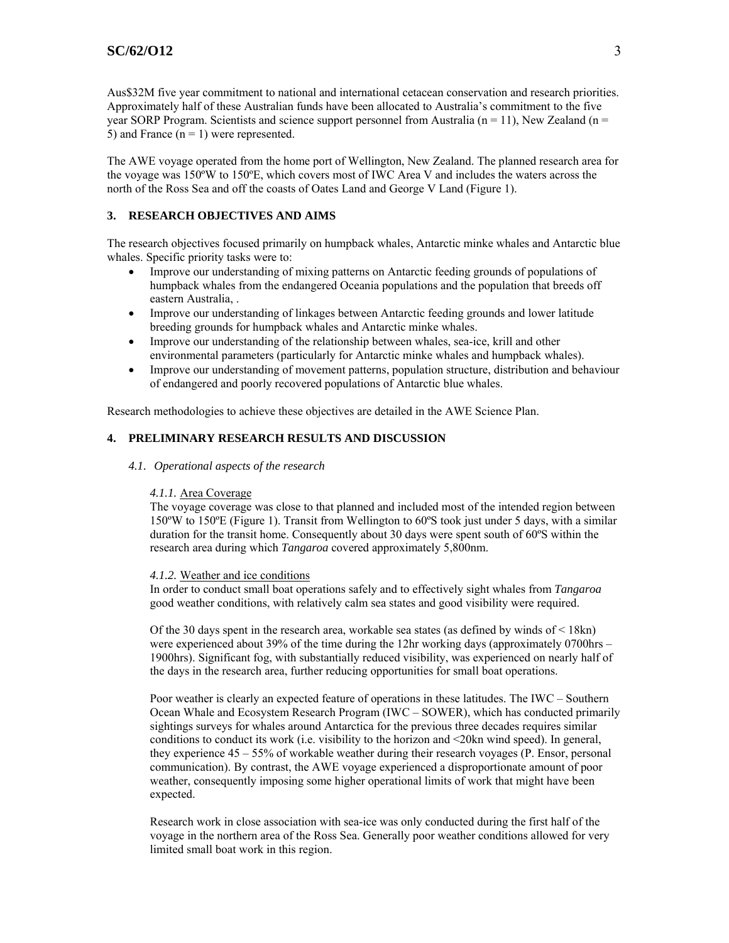Aus\$32M five year commitment to national and international cetacean conservation and research priorities. Approximately half of these Australian funds have been allocated to Australia's commitment to the five year SORP Program. Scientists and science support personnel from Australia ( $n = 11$ ), New Zealand ( $n = 1$ ) 5) and France  $(n = 1)$  were represented.

The AWE voyage operated from the home port of Wellington, New Zealand. The planned research area for the voyage was 150ºW to 150ºE, which covers most of IWC Area V and includes the waters across the north of the Ross Sea and off the coasts of Oates Land and George V Land (Figure 1).

# **3. RESEARCH OBJECTIVES AND AIMS**

The research objectives focused primarily on humpback whales, Antarctic minke whales and Antarctic blue whales. Specific priority tasks were to:

- Improve our understanding of mixing patterns on Antarctic feeding grounds of populations of humpback whales from the endangered Oceania populations and the population that breeds off eastern Australia, .
- Improve our understanding of linkages between Antarctic feeding grounds and lower latitude breeding grounds for humpback whales and Antarctic minke whales.
- Improve our understanding of the relationship between whales, sea-ice, krill and other environmental parameters (particularly for Antarctic minke whales and humpback whales).
- Improve our understanding of movement patterns, population structure, distribution and behaviour of endangered and poorly recovered populations of Antarctic blue whales.

Research methodologies to achieve these objectives are detailed in the AWE Science Plan.

# **4. PRELIMINARY RESEARCH RESULTS AND DISCUSSION**

### *4.1. Operational aspects of the research*

## *4.1.1.* Area Coverage

The voyage coverage was close to that planned and included most of the intended region between 150ºW to 150ºE (Figure 1). Transit from Wellington to 60ºS took just under 5 days, with a similar duration for the transit home. Consequently about 30 days were spent south of 60ºS within the research area during which *Tangaroa* covered approximately 5,800nm.

#### *4.1.2.* Weather and ice conditions

In order to conduct small boat operations safely and to effectively sight whales from *Tangaroa* good weather conditions, with relatively calm sea states and good visibility were required.

Of the 30 days spent in the research area, workable sea states (as defined by winds of  $\leq$  18kn) were experienced about 39% of the time during the 12hr working days (approximately 0700hrs – 1900hrs). Significant fog, with substantially reduced visibility, was experienced on nearly half of the days in the research area, further reducing opportunities for small boat operations.

Poor weather is clearly an expected feature of operations in these latitudes. The IWC – Southern Ocean Whale and Ecosystem Research Program (IWC – SOWER), which has conducted primarily sightings surveys for whales around Antarctica for the previous three decades requires similar conditions to conduct its work (i.e. visibility to the horizon and <20kn wind speed). In general, they experience 45 – 55% of workable weather during their research voyages (P. Ensor, personal communication). By contrast, the AWE voyage experienced a disproportionate amount of poor weather, consequently imposing some higher operational limits of work that might have been expected.

Research work in close association with sea-ice was only conducted during the first half of the voyage in the northern area of the Ross Sea. Generally poor weather conditions allowed for very limited small boat work in this region.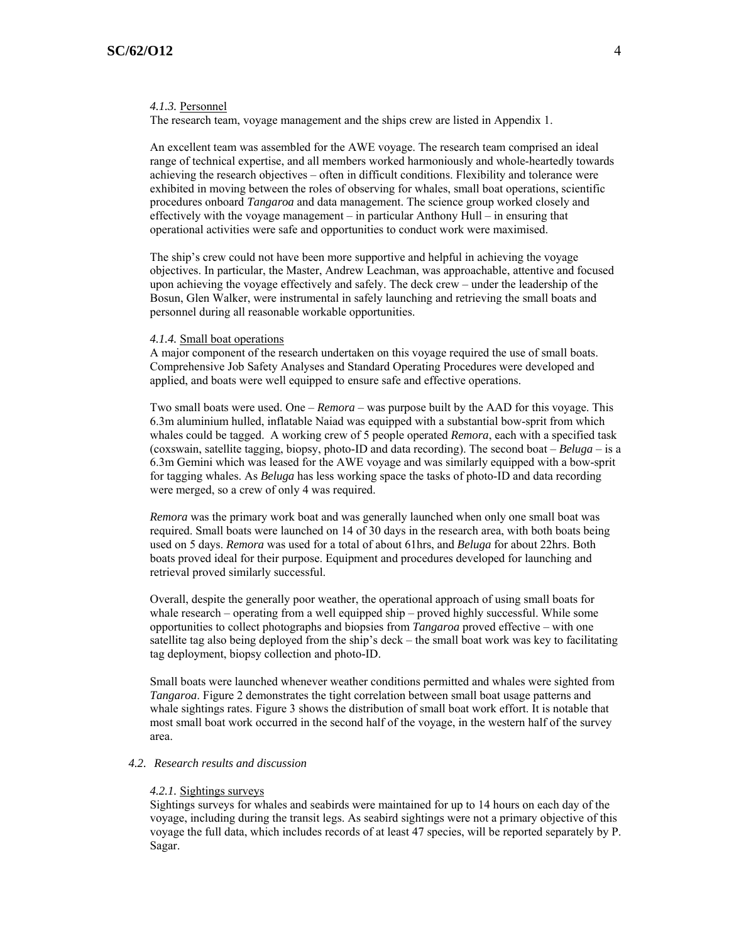#### *4.1.3.* Personnel

The research team, voyage management and the ships crew are listed in Appendix 1.

An excellent team was assembled for the AWE voyage. The research team comprised an ideal range of technical expertise, and all members worked harmoniously and whole-heartedly towards achieving the research objectives – often in difficult conditions. Flexibility and tolerance were exhibited in moving between the roles of observing for whales, small boat operations, scientific procedures onboard *Tangaroa* and data management. The science group worked closely and effectively with the voyage management – in particular Anthony Hull – in ensuring that operational activities were safe and opportunities to conduct work were maximised.

The ship's crew could not have been more supportive and helpful in achieving the voyage objectives. In particular, the Master, Andrew Leachman, was approachable, attentive and focused upon achieving the voyage effectively and safely. The deck crew – under the leadership of the Bosun, Glen Walker, were instrumental in safely launching and retrieving the small boats and personnel during all reasonable workable opportunities.

#### *4.1.4.* Small boat operations

A major component of the research undertaken on this voyage required the use of small boats. Comprehensive Job Safety Analyses and Standard Operating Procedures were developed and applied, and boats were well equipped to ensure safe and effective operations.

Two small boats were used. One – *Remora* – was purpose built by the AAD for this voyage. This 6.3m aluminium hulled, inflatable Naiad was equipped with a substantial bow-sprit from which whales could be tagged. A working crew of 5 people operated *Remora*, each with a specified task (coxswain, satellite tagging, biopsy, photo-ID and data recording). The second boat – *Beluga* – is a 6.3m Gemini which was leased for the AWE voyage and was similarly equipped with a bow-sprit for tagging whales. As *Beluga* has less working space the tasks of photo-ID and data recording were merged, so a crew of only 4 was required.

*Remora* was the primary work boat and was generally launched when only one small boat was required. Small boats were launched on 14 of 30 days in the research area, with both boats being used on 5 days. *Remora* was used for a total of about 61hrs, and *Beluga* for about 22hrs. Both boats proved ideal for their purpose. Equipment and procedures developed for launching and retrieval proved similarly successful.

Overall, despite the generally poor weather, the operational approach of using small boats for whale research – operating from a well equipped ship – proved highly successful. While some opportunities to collect photographs and biopsies from *Tangaroa* proved effective – with one satellite tag also being deployed from the ship's deck – the small boat work was key to facilitating tag deployment, biopsy collection and photo-ID.

Small boats were launched whenever weather conditions permitted and whales were sighted from *Tangaroa*. Figure 2 demonstrates the tight correlation between small boat usage patterns and whale sightings rates. Figure 3 shows the distribution of small boat work effort. It is notable that most small boat work occurred in the second half of the voyage, in the western half of the survey area.

#### *4.2. Research results and discussion*

#### *4.2.1.* Sightings surveys

Sightings surveys for whales and seabirds were maintained for up to 14 hours on each day of the voyage, including during the transit legs. As seabird sightings were not a primary objective of this voyage the full data, which includes records of at least 47 species, will be reported separately by P. Sagar.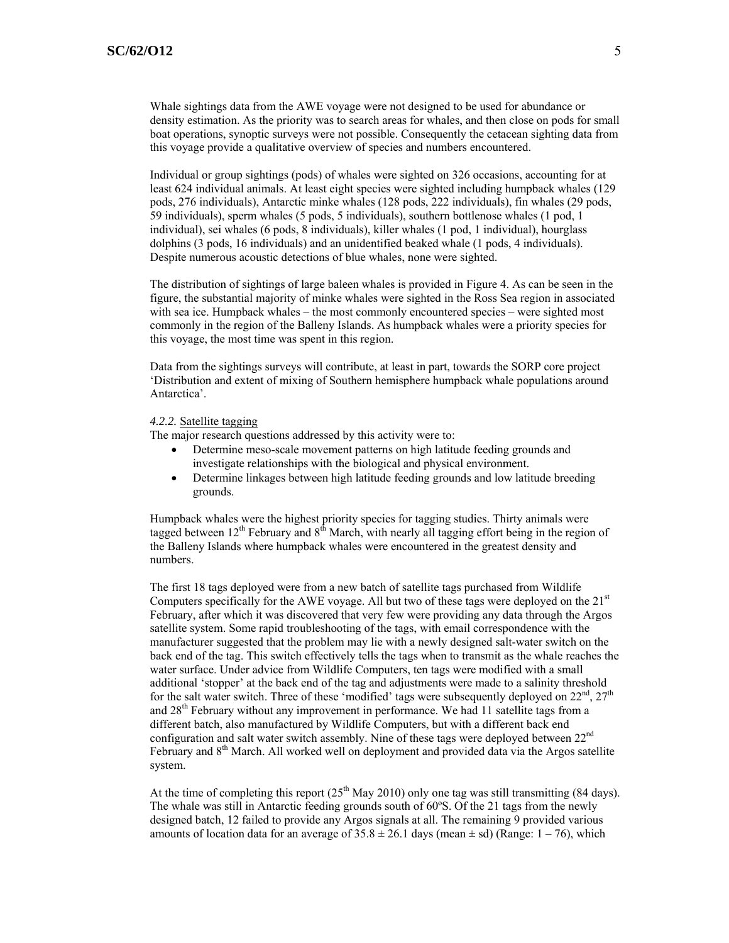Whale sightings data from the AWE voyage were not designed to be used for abundance or density estimation. As the priority was to search areas for whales, and then close on pods for small boat operations, synoptic surveys were not possible. Consequently the cetacean sighting data from this voyage provide a qualitative overview of species and numbers encountered.

Individual or group sightings (pods) of whales were sighted on 326 occasions, accounting for at least 624 individual animals. At least eight species were sighted including humpback whales (129 pods, 276 individuals), Antarctic minke whales (128 pods, 222 individuals), fin whales (29 pods, 59 individuals), sperm whales (5 pods, 5 individuals), southern bottlenose whales (1 pod, 1 individual), sei whales (6 pods, 8 individuals), killer whales (1 pod, 1 individual), hourglass dolphins (3 pods, 16 individuals) and an unidentified beaked whale (1 pods, 4 individuals). Despite numerous acoustic detections of blue whales, none were sighted.

The distribution of sightings of large baleen whales is provided in Figure 4. As can be seen in the figure, the substantial majority of minke whales were sighted in the Ross Sea region in associated with sea ice. Humpback whales – the most commonly encountered species – were sighted most commonly in the region of the Balleny Islands. As humpback whales were a priority species for this voyage, the most time was spent in this region.

Data from the sightings surveys will contribute, at least in part, towards the SORP core project 'Distribution and extent of mixing of Southern hemisphere humpback whale populations around Antarctica'.

#### *4.2.2.* Satellite tagging

The major research questions addressed by this activity were to:

- Determine meso-scale movement patterns on high latitude feeding grounds and investigate relationships with the biological and physical environment.
- Determine linkages between high latitude feeding grounds and low latitude breeding grounds.

Humpback whales were the highest priority species for tagging studies. Thirty animals were tagged between  $12<sup>th</sup>$  February and  $8<sup>th</sup>$  March, with nearly all tagging effort being in the region of the Balleny Islands where humpback whales were encountered in the greatest density and numbers.

The first 18 tags deployed were from a new batch of satellite tags purchased from Wildlife Computers specifically for the AWE voyage. All but two of these tags were deployed on the  $21<sup>st</sup>$ February, after which it was discovered that very few were providing any data through the Argos satellite system. Some rapid troubleshooting of the tags, with email correspondence with the manufacturer suggested that the problem may lie with a newly designed salt-water switch on the back end of the tag. This switch effectively tells the tags when to transmit as the whale reaches the water surface. Under advice from Wildlife Computers, ten tags were modified with a small additional 'stopper' at the back end of the tag and adjustments were made to a salinity threshold for the salt water switch. Three of these 'modified' tags were subsequently deployed on  $22<sup>nd</sup>$ ,  $27<sup>th</sup>$ and  $28<sup>th</sup>$  February without any improvement in performance. We had 11 satellite tags from a different batch, also manufactured by Wildlife Computers, but with a different back end configuration and salt water switch assembly. Nine of these tags were deployed between 22<sup>nd</sup> February and 8<sup>th</sup> March. All worked well on deployment and provided data via the Argos satellite system.

At the time of completing this report  $(25<sup>th</sup>$  May 2010) only one tag was still transmitting (84 days). The whale was still in Antarctic feeding grounds south of 60ºS. Of the 21 tags from the newly designed batch, 12 failed to provide any Argos signals at all. The remaining 9 provided various amounts of location data for an average of  $35.8 \pm 26.1$  days (mean  $\pm$  sd) (Range:  $1 - 76$ ), which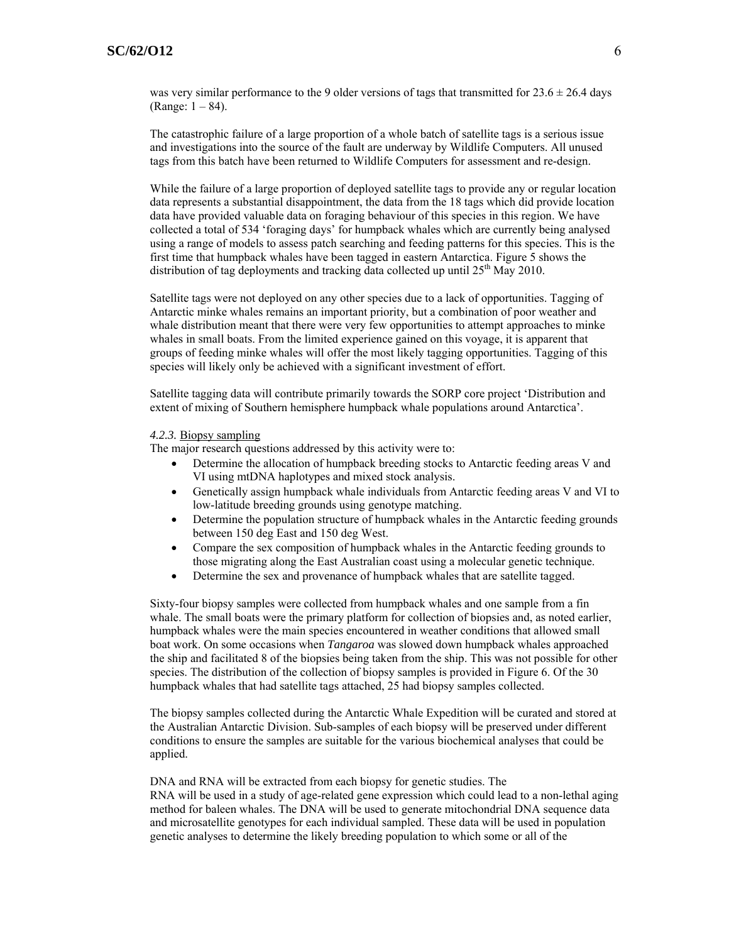was very similar performance to the 9 older versions of tags that transmitted for  $23.6 \pm 26.4$  days (Range: 1 – 84).

The catastrophic failure of a large proportion of a whole batch of satellite tags is a serious issue and investigations into the source of the fault are underway by Wildlife Computers. All unused tags from this batch have been returned to Wildlife Computers for assessment and re-design.

While the failure of a large proportion of deployed satellite tags to provide any or regular location data represents a substantial disappointment, the data from the 18 tags which did provide location data have provided valuable data on foraging behaviour of this species in this region. We have collected a total of 534 'foraging days' for humpback whales which are currently being analysed using a range of models to assess patch searching and feeding patterns for this species. This is the first time that humpback whales have been tagged in eastern Antarctica. Figure 5 shows the distribution of tag deployments and tracking data collected up until  $25<sup>th</sup>$  May 2010.

Satellite tags were not deployed on any other species due to a lack of opportunities. Tagging of Antarctic minke whales remains an important priority, but a combination of poor weather and whale distribution meant that there were very few opportunities to attempt approaches to minke whales in small boats. From the limited experience gained on this voyage, it is apparent that groups of feeding minke whales will offer the most likely tagging opportunities. Tagging of this species will likely only be achieved with a significant investment of effort.

Satellite tagging data will contribute primarily towards the SORP core project 'Distribution and extent of mixing of Southern hemisphere humpback whale populations around Antarctica'.

#### *4.2.3.* Biopsy sampling

The major research questions addressed by this activity were to:

- Determine the allocation of humpback breeding stocks to Antarctic feeding areas V and VI using mtDNA haplotypes and mixed stock analysis.
- Genetically assign humpback whale individuals from Antarctic feeding areas V and VI to low-latitude breeding grounds using genotype matching.
- Determine the population structure of humpback whales in the Antarctic feeding grounds between 150 deg East and 150 deg West.
- Compare the sex composition of humpback whales in the Antarctic feeding grounds to those migrating along the East Australian coast using a molecular genetic technique.
- Determine the sex and provenance of humpback whales that are satellite tagged.

Sixty-four biopsy samples were collected from humpback whales and one sample from a fin whale. The small boats were the primary platform for collection of biopsies and, as noted earlier, humpback whales were the main species encountered in weather conditions that allowed small boat work. On some occasions when *Tangaroa* was slowed down humpback whales approached the ship and facilitated 8 of the biopsies being taken from the ship. This was not possible for other species. The distribution of the collection of biopsy samples is provided in Figure 6. Of the 30 humpback whales that had satellite tags attached, 25 had biopsy samples collected.

The biopsy samples collected during the Antarctic Whale Expedition will be curated and stored at the Australian Antarctic Division. Sub-samples of each biopsy will be preserved under different conditions to ensure the samples are suitable for the various biochemical analyses that could be applied.

DNA and RNA will be extracted from each biopsy for genetic studies. The RNA will be used in a study of age-related gene expression which could lead to a non-lethal aging method for baleen whales. The DNA will be used to generate mitochondrial DNA sequence data and microsatellite genotypes for each individual sampled. These data will be used in population genetic analyses to determine the likely breeding population to which some or all of the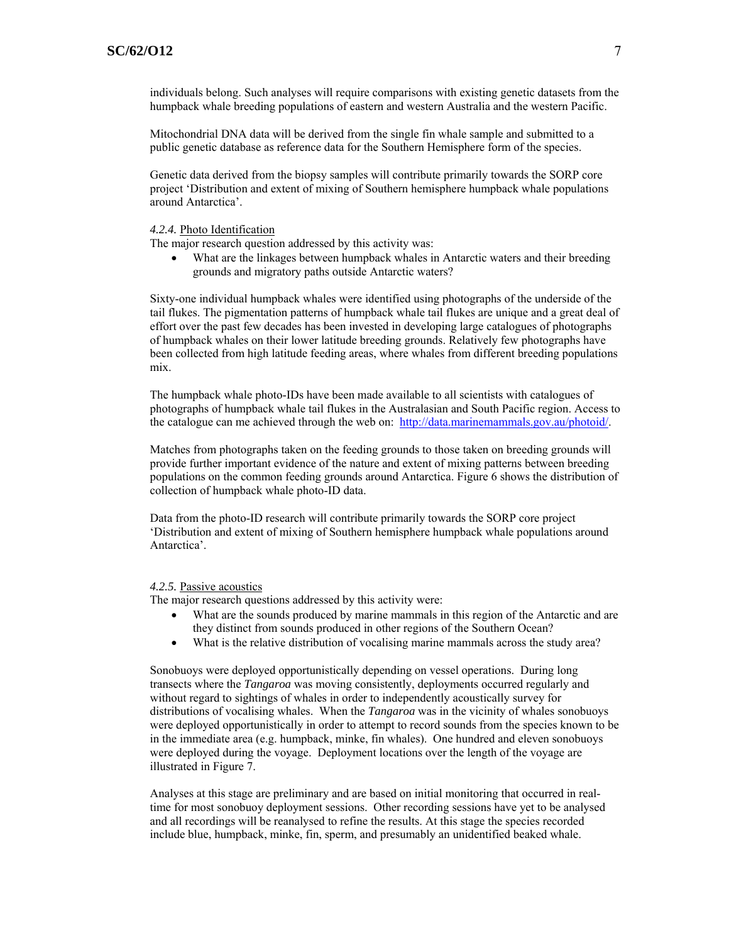individuals belong. Such analyses will require comparisons with existing genetic datasets from the humpback whale breeding populations of eastern and western Australia and the western Pacific.

Mitochondrial DNA data will be derived from the single fin whale sample and submitted to a public genetic database as reference data for the Southern Hemisphere form of the species.

Genetic data derived from the biopsy samples will contribute primarily towards the SORP core project 'Distribution and extent of mixing of Southern hemisphere humpback whale populations around Antarctica'.

#### *4.2.4.* Photo Identification

The major research question addressed by this activity was:

• What are the linkages between humpback whales in Antarctic waters and their breeding grounds and migratory paths outside Antarctic waters?

Sixty-one individual humpback whales were identified using photographs of the underside of the tail flukes. The pigmentation patterns of humpback whale tail flukes are unique and a great deal of effort over the past few decades has been invested in developing large catalogues of photographs of humpback whales on their lower latitude breeding grounds. Relatively few photographs have been collected from high latitude feeding areas, where whales from different breeding populations mix.

The humpback whale photo-IDs have been made available to all scientists with catalogues of photographs of humpback whale tail flukes in the Australasian and South Pacific region. Access to the catalogue can me achieved through the web on: <http://data.marinemammals.gov.au/photoid/>.

Matches from photographs taken on the feeding grounds to those taken on breeding grounds will provide further important evidence of the nature and extent of mixing patterns between breeding populations on the common feeding grounds around Antarctica. Figure 6 shows the distribution of collection of humpback whale photo-ID data.

Data from the photo-ID research will contribute primarily towards the SORP core project 'Distribution and extent of mixing of Southern hemisphere humpback whale populations around Antarctica'.

#### *4.2.5.* Passive acoustics

The major research questions addressed by this activity were:

- What are the sounds produced by marine mammals in this region of the Antarctic and are they distinct from sounds produced in other regions of the Southern Ocean?
- What is the relative distribution of vocalising marine mammals across the study area?

Sonobuoys were deployed opportunistically depending on vessel operations. During long transects where the *Tangaroa* was moving consistently, deployments occurred regularly and without regard to sightings of whales in order to independently acoustically survey for distributions of vocalising whales. When the *Tangaroa* was in the vicinity of whales sonobuoys were deployed opportunistically in order to attempt to record sounds from the species known to be in the immediate area (e.g. humpback, minke, fin whales). One hundred and eleven sonobuoys were deployed during the voyage. Deployment locations over the length of the voyage are illustrated in Figure 7.

Analyses at this stage are preliminary and are based on initial monitoring that occurred in realtime for most sonobuoy deployment sessions. Other recording sessions have yet to be analysed and all recordings will be reanalysed to refine the results. At this stage the species recorded include blue, humpback, minke, fin, sperm, and presumably an unidentified beaked whale.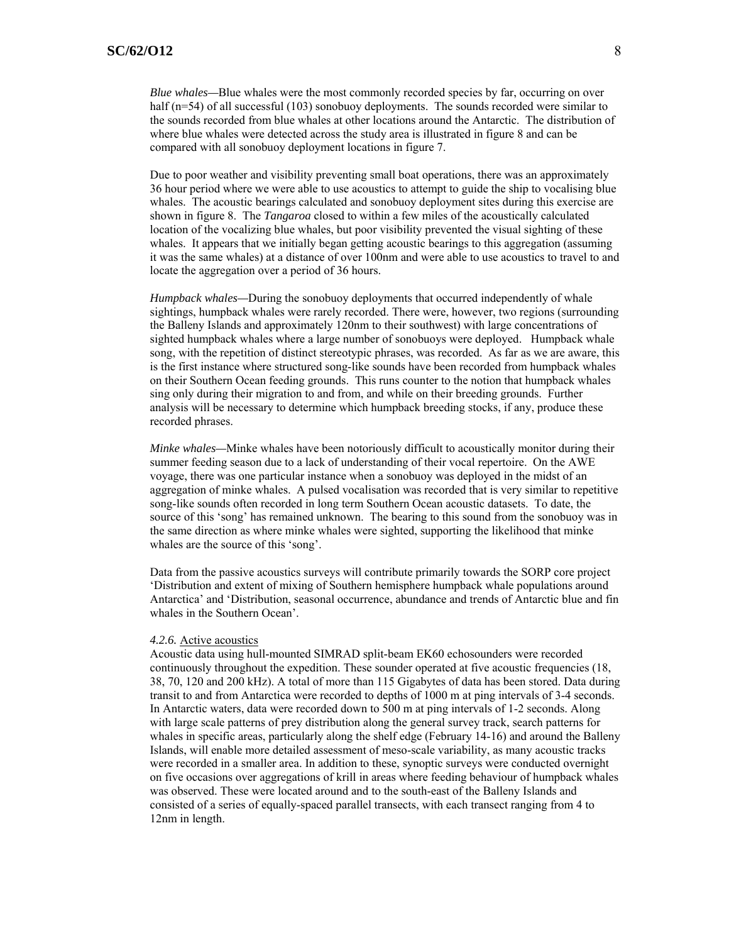*Blue whales—*Blue whales were the most commonly recorded species by far, occurring on over half (n=54) of all successful (103) sonobuoy deployments. The sounds recorded were similar to the sounds recorded from blue whales at other locations around the Antarctic. The distribution of where blue whales were detected across the study area is illustrated in figure 8 and can be compared with all sonobuoy deployment locations in figure 7.

Due to poor weather and visibility preventing small boat operations, there was an approximately 36 hour period where we were able to use acoustics to attempt to guide the ship to vocalising blue whales. The acoustic bearings calculated and sonobuoy deployment sites during this exercise are shown in figure 8. The *Tangaroa* closed to within a few miles of the acoustically calculated location of the vocalizing blue whales, but poor visibility prevented the visual sighting of these whales. It appears that we initially began getting acoustic bearings to this aggregation (assuming it was the same whales) at a distance of over 100nm and were able to use acoustics to travel to and locate the aggregation over a period of 36 hours.

*Humpback whales—*During the sonobuoy deployments that occurred independently of whale sightings, humpback whales were rarely recorded. There were, however, two regions (surrounding the Balleny Islands and approximately 120nm to their southwest) with large concentrations of sighted humpback whales where a large number of sonobuoys were deployed. Humpback whale song, with the repetition of distinct stereotypic phrases, was recorded. As far as we are aware, this is the first instance where structured song-like sounds have been recorded from humpback whales on their Southern Ocean feeding grounds. This runs counter to the notion that humpback whales sing only during their migration to and from, and while on their breeding grounds. Further analysis will be necessary to determine which humpback breeding stocks, if any, produce these recorded phrases.

*Minke whales—*Minke whales have been notoriously difficult to acoustically monitor during their summer feeding season due to a lack of understanding of their vocal repertoire. On the AWE voyage, there was one particular instance when a sonobuoy was deployed in the midst of an aggregation of minke whales. A pulsed vocalisation was recorded that is very similar to repetitive song-like sounds often recorded in long term Southern Ocean acoustic datasets. To date, the source of this 'song' has remained unknown. The bearing to this sound from the sonobuoy was in the same direction as where minke whales were sighted, supporting the likelihood that minke whales are the source of this 'song'.

Data from the passive acoustics surveys will contribute primarily towards the SORP core project 'Distribution and extent of mixing of Southern hemisphere humpback whale populations around Antarctica' and 'Distribution, seasonal occurrence, abundance and trends of Antarctic blue and fin whales in the Southern Ocean'.

#### *4.2.6.* Active acoustics

Acoustic data using hull-mounted SIMRAD split-beam EK60 echosounders were recorded continuously throughout the expedition. These sounder operated at five acoustic frequencies (18, 38, 70, 120 and 200 kHz). A total of more than 115 Gigabytes of data has been stored. Data during transit to and from Antarctica were recorded to depths of 1000 m at ping intervals of 3-4 seconds. In Antarctic waters, data were recorded down to 500 m at ping intervals of 1-2 seconds. Along with large scale patterns of prey distribution along the general survey track, search patterns for whales in specific areas, particularly along the shelf edge (February 14-16) and around the Balleny Islands, will enable more detailed assessment of meso-scale variability, as many acoustic tracks were recorded in a smaller area. In addition to these, synoptic surveys were conducted overnight on five occasions over aggregations of krill in areas where feeding behaviour of humpback whales was observed. These were located around and to the south-east of the Balleny Islands and consisted of a series of equally-spaced parallel transects, with each transect ranging from 4 to 12nm in length.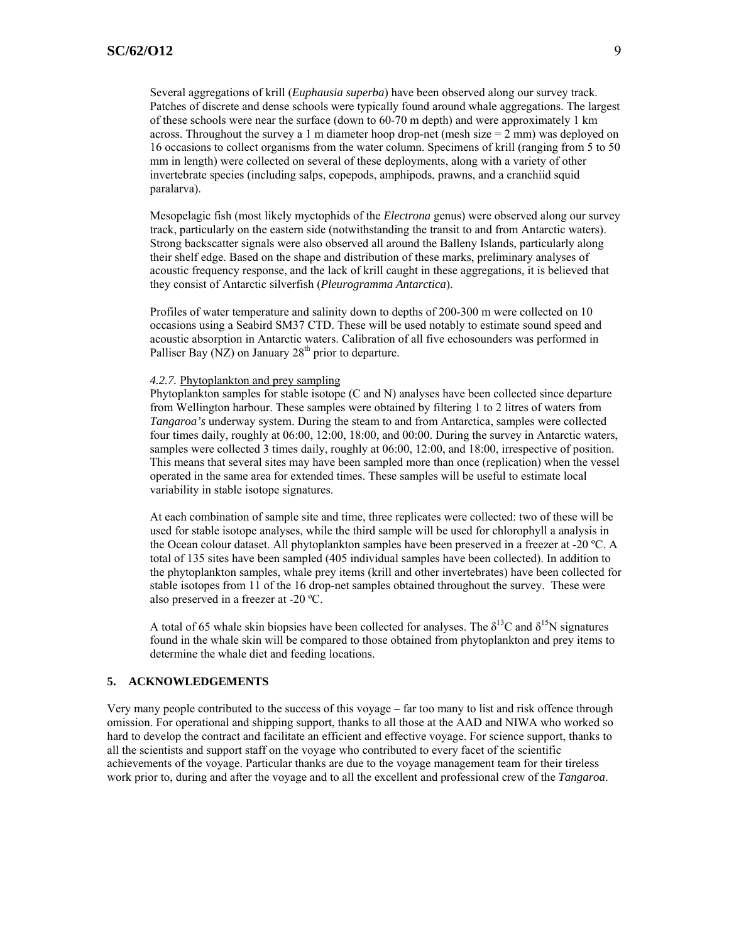Several aggregations of krill (*Euphausia superba*) have been observed along our survey track. Patches of discrete and dense schools were typically found around whale aggregations. The largest of these schools were near the surface (down to 60-70 m depth) and were approximately 1 km across. Throughout the survey a 1 m diameter hoop drop-net (mesh size  $= 2$  mm) was deployed on 16 occasions to collect organisms from the water column. Specimens of krill (ranging from 5 to 50 mm in length) were collected on several of these deployments, along with a variety of other invertebrate species (including salps, copepods, amphipods, prawns, and a cranchiid squid paralarva).

Mesopelagic fish (most likely myctophids of the *Electrona* genus) were observed along our survey track, particularly on the eastern side (notwithstanding the transit to and from Antarctic waters). Strong backscatter signals were also observed all around the Balleny Islands, particularly along their shelf edge. Based on the shape and distribution of these marks, preliminary analyses of acoustic frequency response, and the lack of krill caught in these aggregations, it is believed that they consist of Antarctic silverfish (*Pleurogramma Antarctica*).

Profiles of water temperature and salinity down to depths of 200-300 m were collected on 10 occasions using a Seabird SM37 CTD. These will be used notably to estimate sound speed and acoustic absorption in Antarctic waters. Calibration of all five echosounders was performed in Palliser Bay (NZ) on January  $28<sup>th</sup>$  prior to departure.

#### *4.2.7.* Phytoplankton and prey sampling

Phytoplankton samples for stable isotope (C and N) analyses have been collected since departure from Wellington harbour. These samples were obtained by filtering 1 to 2 litres of waters from *Tangaroa's* underway system. During the steam to and from Antarctica, samples were collected four times daily, roughly at 06:00, 12:00, 18:00, and 00:00. During the survey in Antarctic waters, samples were collected 3 times daily, roughly at 06:00, 12:00, and 18:00, irrespective of position. This means that several sites may have been sampled more than once (replication) when the vessel operated in the same area for extended times. These samples will be useful to estimate local variability in stable isotope signatures.

At each combination of sample site and time, three replicates were collected: two of these will be used for stable isotope analyses, while the third sample will be used for chlorophyll a analysis in the Ocean colour dataset. All phytoplankton samples have been preserved in a freezer at -20 ºC. A total of 135 sites have been sampled (405 individual samples have been collected). In addition to the phytoplankton samples, whale prey items (krill and other invertebrates) have been collected for stable isotopes from 11 of the 16 drop-net samples obtained throughout the survey. These were also preserved in a freezer at -20 ºC.

A total of 65 whale skin biopsies have been collected for analyses. The  $\delta^{13}C$  and  $\delta^{15}N$  signatures found in the whale skin will be compared to those obtained from phytoplankton and prey items to determine the whale diet and feeding locations.

## **5. ACKNOWLEDGEMENTS**

Very many people contributed to the success of this voyage – far too many to list and risk offence through omission. For operational and shipping support, thanks to all those at the AAD and NIWA who worked so hard to develop the contract and facilitate an efficient and effective voyage. For science support, thanks to all the scientists and support staff on the voyage who contributed to every facet of the scientific achievements of the voyage. Particular thanks are due to the voyage management team for their tireless work prior to, during and after the voyage and to all the excellent and professional crew of the *Tangaroa*.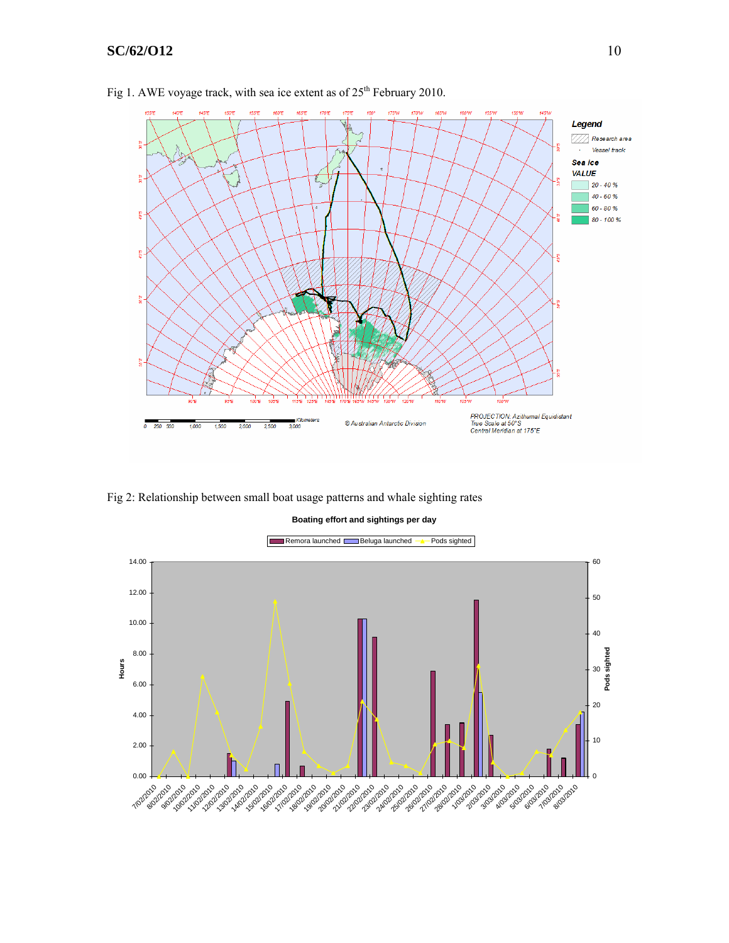# **SC/62/O12** 10



Fig 1. AWE voyage track, with sea ice extent as of  $25<sup>th</sup>$  February 2010.

Fig 2: Relationship between small boat usage patterns and whale sighting rates



**Boating effort and sightings per day**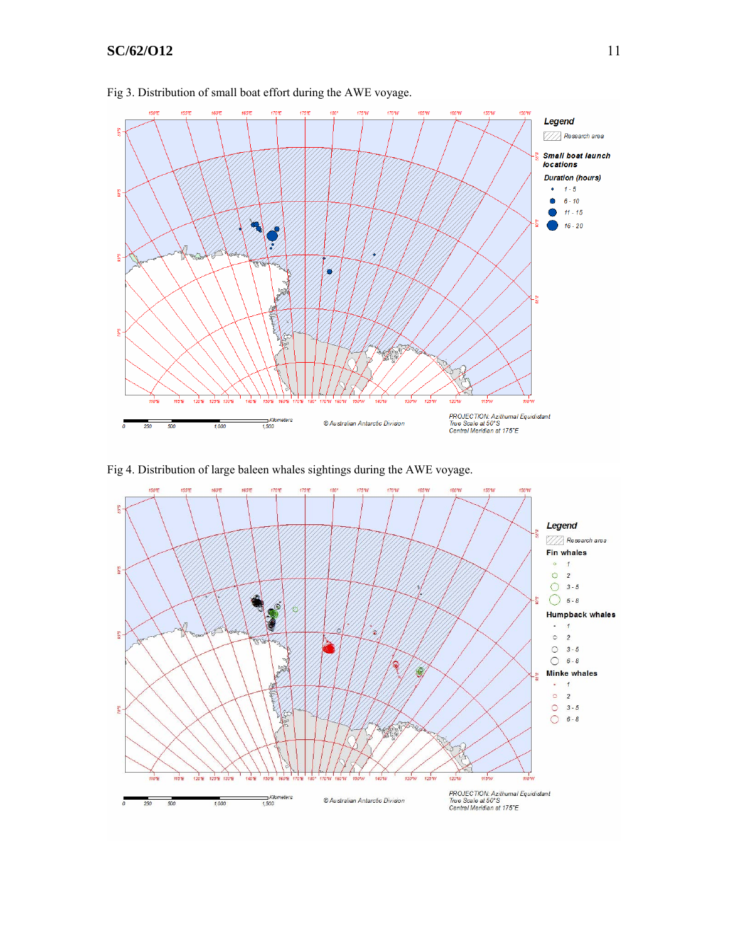# **SC/62/O12** 11



## Fig 3. Distribution of small boat effort during the AWE voyage.

Fig 4. Distribution of large baleen whales sightings during the AWE voyage.

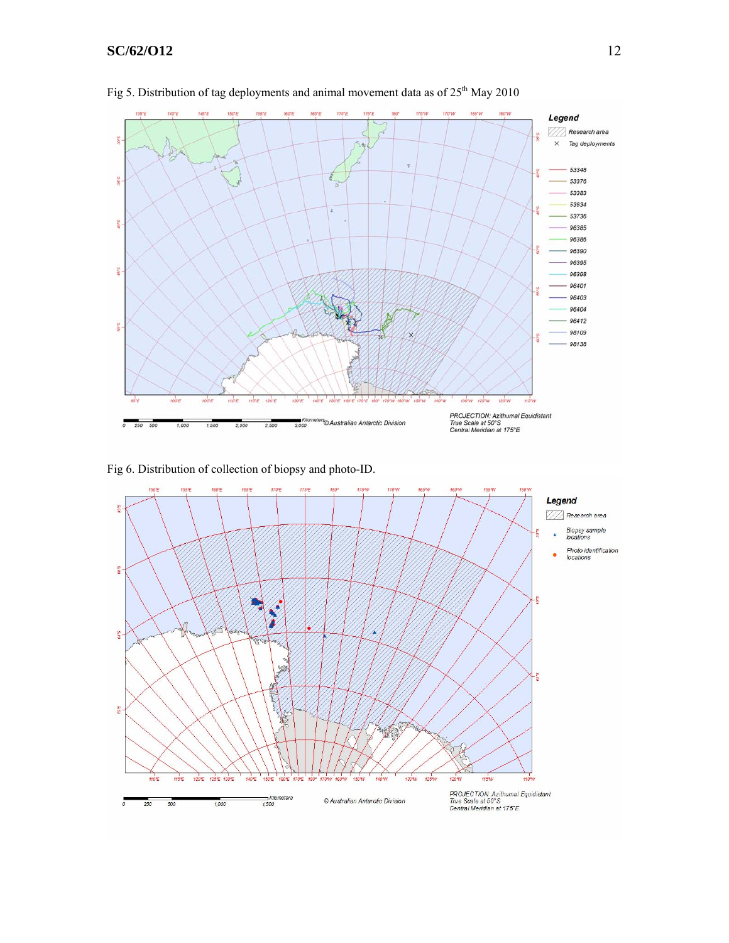# **SC/62/O12** 12



Fig 5. Distribution of tag deployments and animal movement data as of 25<sup>th</sup> May 2010

Fig 6. Distribution of collection of biopsy and photo-ID.

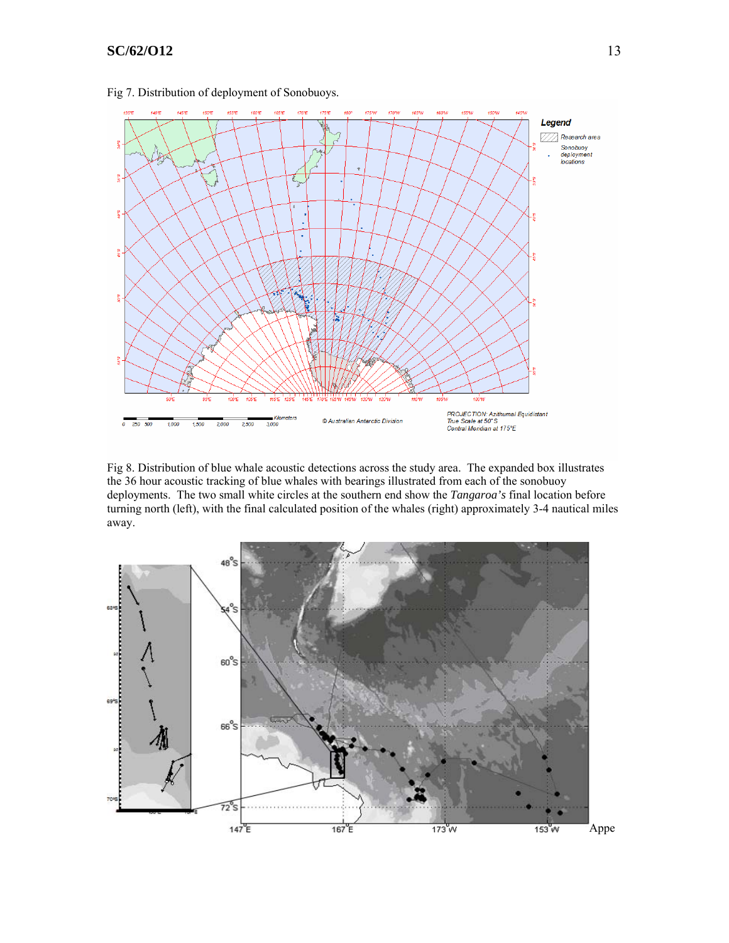

Fig 7. Distribution of deployment of Sonobuoys.

Fig 8. Distribution of blue whale acoustic detections across the study area. The expanded box illustrates the 36 hour acoustic tracking of blue whales with bearings illustrated from each of the sonobuoy deployments. The two small white circles at the southern end show the *Tangaroa's* final location before turning north (left), with the final calculated position of the whales (right) approximately 3-4 nautical miles away.